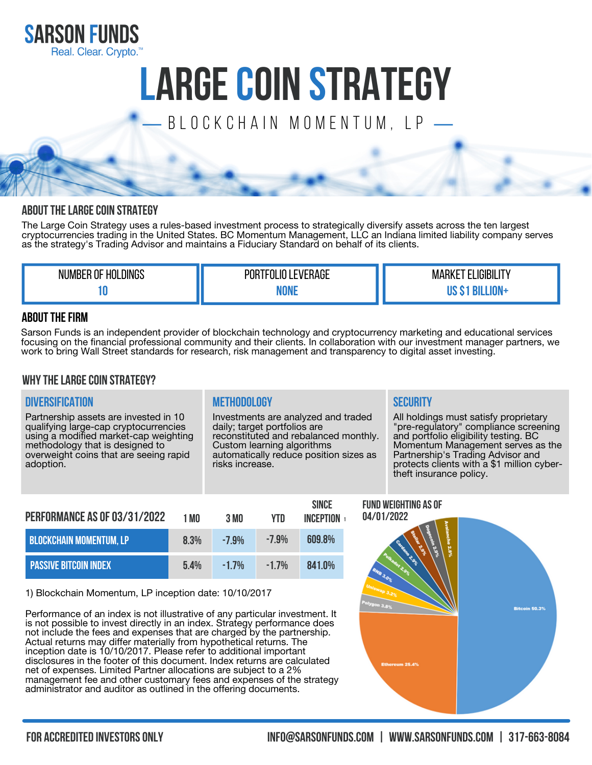

# **LARGECOIN STRATEGY**

B L O C K C H A I N M O M E N T U M , L P

## **ABOUT THE LARGE COIN STRATEGY**

The Large Coin Strategy uses a rules-based investment process to strategically diversify assets across the ten largest cryptocurrencies trading in the United States. BC Momentum Management, LLC an Indiana limited liability company serves as the strategy's Trading Advisor and maintains a Fiduciary Standard on behalf of its clients.

| <b>HOLDINGS</b><br><b>NUMBER OF</b> | <b>EVERAGE</b><br>'TFOL<br>POR <sup>®</sup> | LIGIBILIT'<br>MARKE. |
|-------------------------------------|---------------------------------------------|----------------------|
|                                     | .<br>_____                                  |                      |

## **ABOUT THE FIRM**

Sarson Funds is an independent provider of blockchain technology and cryptocurrency marketing and educational services focusing on the financial professional community and their clients. In collaboration with our investment manager partners, we work to bring Wall Street standards for research, risk management and transparency to digital asset investing.

### **WHY THE LARGE COIN STRATEGY?**

## **Diversification Methodology Security**

Partnership assets are invested in 10 qualifying large-cap cryptocurrencies using a modified market-cap weighting methodology that is designed to overweight coins that are seeing rapid adoption.

Investments are analyzed and traded daily; target portfolios are reconstituted and rebalanced monthly. Custom learning algorithms automatically reduce position sizes as risks increase.

**Since**

All holdings must satisfy proprietary "pre-regulatory" compliance screening and portfolio eligibility testing. BC Momentum Management serves as the Partnership's Trading Advisor and protects clients with a \$1 million cybertheft insurance policy.

| PERFORMANCE AS OF 03/31/2022   | 1 MN | 3 MO    | <b>YTD</b> | <b>SINGE</b><br><b>INCFPTION</b> |
|--------------------------------|------|---------|------------|----------------------------------|
| <b>BLOCKCHAIN MOMENTUM, LP</b> | 8 3% | $-7.9%$ | $-7.9%$    | 609.8%                           |
| <b>PASSIVE BITCOIN INDEX</b>   | 54%  | $-17%$  | $-17%$     | 841.0%                           |

1) Blockchain Momentum, LP inception date: 10/10/2017

Performance of an index is not illustrative of any particular investment. It is not possible to invest directly in an index. Strategy performance does not include the fees and expenses that are charged by the partnership. Actual returns may differ materially from hypothetical returns. The inception date is 10/10/2017. Please refer to additional important disclosures in the footer of this document. Index returns are calculated net of expenses. Limited Partner allocations are subject to a 2% management fee and other customary fees and expenses of the strategy administrator and auditor as outlined in the offering documents.